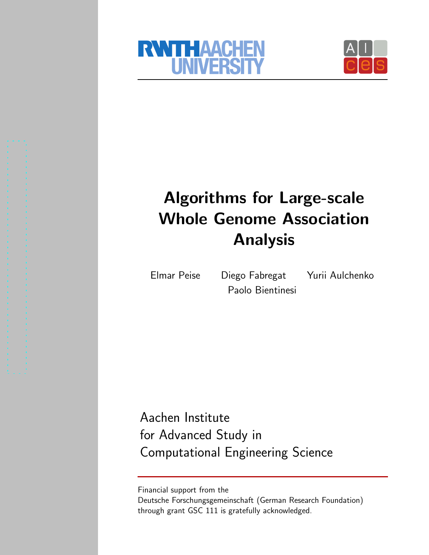



# Algorithms for Large-scale Whole Genome Association Analysis

Paolo Bientinesi

Elmar Peise Diego Fabregat Yurii Aulchenko

Aachen Institute for Advanced Study in Computational Engineering Science

Financial support from the Deutsche Forschungsgemeinschaft (German Research Foundation) through grant GSC 111 is gratefully acknowledged.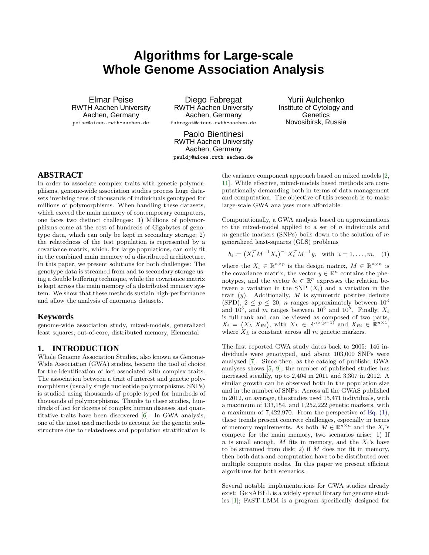# **Algorithms for Large-scale Whole Genome Association Analysis**

Elmar Peise RWTH Aachen University Aachen, Germany peise@aices.rwth-aachen.de

Diego Fabregat RWTH Aachen University Aachen, Germany fabregat@aices.rwth-aachen.de

Yurii Aulchenko Institute of Cytology and **Genetics** Novosibirsk, Russia

Paolo Bientinesi RWTH Aachen University Aachen, Germany pauldj@aices.rwth-aachen.de

# **ABSTRACT**

In order to associate complex traits with genetic polymorphisms, genome-wide association studies process huge datasets involving tens of thousands of individuals genotyped for millions of polymorphisms. When handling these datasets, which exceed the main memory of contemporary computers, one faces two distinct challenges: 1) Millions of polymorphisms come at the cost of hundreds of Gigabytes of genotype data, which can only be kept in secondary storage; 2) the relatedness of the test population is represented by a covariance matrix, which, for large populations, can only fit in the combined main memory of a distributed architecture. In this paper, we present solutions for both challenges: The genotype data is streamed from and to secondary storage using a double buffering technique, while the covariance matrix is kept across the main memory of a distributed memory system. We show that these methods sustain high-performance and allow the analysis of enormous datasets.

## **Keywords**

genome-wide association study, mixed-models, generalized least squares, out-of-core, distributed memory, Elemental

# **1. INTRODUCTION**

Whole Genome Association Studies, also known as Genome-Wide Association (GWA) studies, became the tool of choice for the identification of loci associated with complex traits. The association between a trait of interest and genetic polymorphisms (usually single nucleotide polymorphisms, SNPs) is studied using thousands of people typed for hundreds of thousands of polymorphisms. Thanks to these studies, hundreds of loci for dozens of complex human diseases and quantitative traits have been discovered [\[6\]](#page-7-0). In GWA analysis, one of the most used methods to account for the genetic substructure due to relatedness and population stratification is

the variance component approach based on mixed models [\[2,](#page-7-1) [11\]](#page-8-0). While effective, mixed-models based methods are computationally demanding both in terms of data management and computation. The objective of this research is to make large-scale GWA analyses more affordable.

Computationally, a GWA analysis based on approximations to the mixed-model applied to a set of  $n$  individuals and m genetic markers (SNPs) boils down to the solution of  $m$ generalized least-squares (GLS) problems

<span id="page-2-0"></span>
$$
b_i := (X_i^T M^{-1} X_i)^{-1} X_i^T M^{-1} y, \text{ with } i = 1, ..., m, (1)
$$

where the  $X_i \in \mathbb{R}^{n \times p}$  is the design matrix,  $M \in \mathbb{R}^{n \times n}$  is the covariance matrix, the vector  $y \in \mathbb{R}^n$  contains the phenotypes, and the vector  $b_i \in \mathbb{R}^p$  expresses the relation between a variation in the SNP  $(X_i)$  and a variation in the trait  $(y)$ . Additionally, M is symmetric positive definite (SPD),  $2 \leq p \leq 20$ , *n* ranges approximately between  $10^3$ and  $10^5$ , and m ranges between  $10^5$  and  $10^8$ . Finally,  $X_i$ is full rank and can be viewed as composed of two parts,  $X_i = (X_L | X_{R_i}),$  with  $X_L \in \mathbb{R}^{n \times (p-1)}$  and  $X_{R_i} \in \mathbb{R}^{n \times 1},$ where  $\mathcal{X}_L$  is constant across all  $m$  genetic markers.

The first reported GWA study dates back to 2005: 146 individuals were genotyped, and about 103,000 SNPs were analyzed [\[7\]](#page-7-2). Since then, as the catalog of publishd GWA analyses shows [\[5,](#page-7-3) [9\]](#page-8-1), the number of published studies has increased steadily, up to 2,404 in 2011 and 3,307 in 2012. A similar growth can be observed both in the population size and in the number of SNPs: Across all the GWAS published in 2012, on average, the studies used 15,471 individuals, with a maximum of 133,154, and 1,252,222 genetic markers, with a maximum of 7,422,970. From the perspective of [Eq. \(1\),](#page-2-0) these trends present concrete challenges, especially in terms of memory requirements. As both  $\widetilde{M} \in \mathbb{R}^{n \times n}$  and the  $X_i$ 's compete for the main memory, two scenarios arise: 1) If n is small enough, M fits in memory, and the  $X_i$ 's have to be streamed from disk; 2) if  $M$  does not fit in memory, then both data and computation have to be distributed over multiple compute nodes. In this paper we present efficient algorithms for both scenarios.

Several notable implementations for GWA studies already exist: GenABEL is a widely spread library for genome studies [\[1\]](#page-7-4); FaST-LMM is a program specifically designed for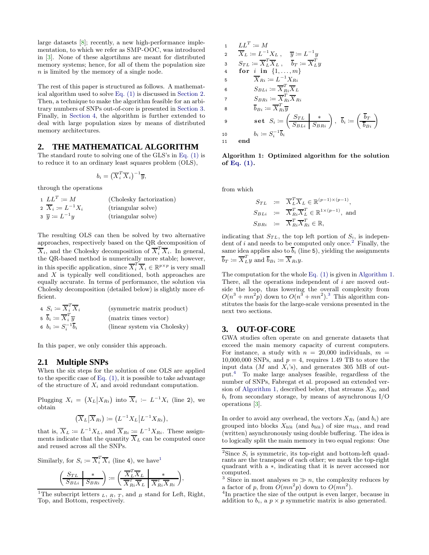large datasets [\[8\]](#page-7-5); recently, a new high-performance implementation, to which we refer as SMP-OOC, was introduced in [\[3\]](#page-7-6). None of these algortihms are meant for distributed memory systems; hence, for all of them the population size n is limited by the memory of a single node.

The rest of this paper is structured as follows. A mathematical algorithm used to solve [Eq. \(1\)](#page-2-0) is discussed in [Section 2.](#page-3-0) Then, a technique to make the algorithm feasible for an arbitrary numbers of SNPs out-of-core is presented in [Section 3.](#page-3-1) Finally, in [Section 4,](#page-5-0) the algorithm is further extended to deal with large population sizes by means of distributed memory architectures.

# <span id="page-3-0"></span>**2. THE MATHEMATICAL ALGORITHM**

The standard route to solving one of the GLS's in [Eq. \(1\)](#page-2-0) is to reduce it to an ordinary least squares problem (OLS),

$$
b_i = \left(\overline{X}_i^T \overline{X}_i\right)^{-1} \overline{y},
$$

through the operations

| $1 L L^T \coloneqq M$            | (Cholesky factorization) |
|----------------------------------|--------------------------|
| 2 $X_i \coloneqq L^{-1} X_i$     | (triangular solve)       |
| $\overline{y} \coloneqq L^{-1}y$ | (triangular solve)       |

The resulting OLS can then be solved by two alternative approaches, respectively based on the QR decomposition of  $\overline{X}_i$ , and the Cholesky decomposition of  $\overline{X}_i^T \overline{X}_i$ . In general, the QR-based method is numerically more stable; however, in this specific application, since  $\overline{X}_i^T \overline{X}_i \in \mathbb{R}^{p \times p}$  is very small and X is typically well conditioned, both approaches are equally accurate. In terms of performance, the solution via Cholesky decomposition (detailed below) is slightly more efficient.

4 
$$
S_i := \overline{X}_i^T \overline{X}_i
$$
 (symmetric matrix product)  
\n5  $\overline{b}_i := \overline{X}_i^T \overline{y}$  (matrix times vector)  
\n6  $b_i := S_i^{-1} \overline{b}_i$  (linear system via Cholesky)

In this paper, we only consider this approach.

# **2.1 Multiple SNPs**

When the six steps for the solution of one OLS are applied to the specific case of [Eq. \(1\),](#page-2-0) it is possible to take advantage of the structure of  $X_i$  and avoid redundant computation.

Plugging  $X_i = (X_L | X_{R_i})$  into  $\overline{X}_i := L^{-1} X_i$  (line 2), we obtain

$$
(\overline{X}_L|\overline{X}_{Ri}) \coloneqq (L^{-1}X_L|L^{-1}X_{Ri}),
$$

that is,  $\overline{X}_L := L^{-1} X_L$ , and  $\overline{X}_{Ri} := L^{-1} X_{Ri}$ . These assignments indicate that the quantity  $X_L$  can be computed once and reused across all the SNPs.

Similarly, for 
$$
S_i := \overline{X}_i^T \overline{X}_i
$$
 (line 4), we have<sup>1</sup>  

$$
\left(\frac{S_{TL}}{S_{BLi}}\middle| \frac{*}{S_{BRi}}\right) := \left(\frac{\overline{X}_L^T \overline{X}_L}{\overline{X}_{Ri}^T \overline{X}_L} \middle| \frac{*}{\overline{X}_{Ri}^T \overline{X}_{Ri}}\right)
$$

<span id="page-3-2"></span><sup>1</sup>The subscript letters  $_L$ ,  $_R$ ,  $_T$ , and  $_B$  stand for Left, Right, Top, and Bottom, respectively.

,

<span id="page-3-4"></span>1 
$$
LL^{T} := M
$$
  
\n2  $\overline{X}_{L} := L^{-1}X_{L}, \quad \overline{y} := L^{-1}y$   
\n3  $S_{TL} := \overline{X}_{L}^{T}\overline{X}_{L}, \quad \overline{b}_{T} := \overline{X}_{L}^{T}y$   
\n4 **for** *i* **in** {1,...,m}  
\n5  $\overline{X}_{Ri} := L^{-1}X_{Ri}$   
\n6  $S_{BLi} := \overline{X}_{Ri}^{T}\overline{X}_{L}$   
\n7  $S_{BRi} := \overline{X}_{Ri}^{T}\overline{X}_{Ri}$   
\n8  $\overline{b}_{Bi} := \overline{X}_{Ri}^{T}\overline{y}$   
\n9 **set**  $S_{i} := \left(\frac{S_{TL}}{S_{BLi}}\right)^{*}$ ,  $\overline{b}_{i} := \left(\frac{\overline{b}_{T}}{\overline{b}_{Bi}}\right)^{i}$   
\n10  $b_{i} := S_{i}^{-1}\overline{b}_{i}$   
\n11 **end**

Algorithm 1: Optimized algorithm for the solution of [Eq. \(1\).](#page-2-0)

from which

$$
S_{TL} \coloneqq \overline{X}_L^T \overline{X}_L \in \mathbb{R}^{(p-1)\times(p-1)},
$$
  
\n
$$
S_{BLi} \coloneqq \overline{X}_{Ri}^T \overline{X}_L^T \in \mathbb{R}^{1\times(p-1)}, \text{ and}
$$
  
\n
$$
S_{BRi} \coloneqq \overline{X}_{Ri}^T \overline{X}_{Ri}^T \in \mathbb{R},
$$

indicating that  $S_{TL}$ , the top left portion of  $S_i$ , is independent of  $i$  and needs to be computed only once.<sup>[2](#page-3-3)</sup> Finally, the same idea applies also to  $\overline{b}_i$  (line 5), yielding the assignments  $\overline{b}_T \coloneqq \overline{X}_{L}^T y$  and  $\overline{b}_{Bi} \coloneqq \overline{X}_{Ri} y$ .

The computation for the whole [Eq. \(1\)](#page-2-0) is given in [Algorithm 1.](#page-3-4) There, all the operations independent of  $i$  are moved outside the loop, thus lowering the overall complexity from  $O(n^3 + mn^2p)$  $O(n^3 + mn^2p)$  $O(n^3 + mn^2p)$  down to  $O(n^3 + mn^2)^3$ . This algorithm constitutes the basis for the large-scale versions presented in the next two sections.

# <span id="page-3-1"></span>**3. OUT-OF-CORE**

GWA studies often operate on and generate datasets that exceed the main memory capacity of current computers. For instance, a study with  $n = 20,000$  individuals,  $m =$ 10,000,000 SNPs, and  $p = 4$ , requires 1.49 TB to store the input data  $(M \text{ and } X_i\text{'s})$ , and generates 305 MB of output.[4](#page-3-6) To make large analyses feasible, regardless of the number of SNPs, Fabregat et al. proposed an extended ver-sion of [Algorithm 1,](#page-3-4) described below, that streams  $X_{Ri}$  and  $b_i$  from secondary storage, by means of asynchronous  $I/O$ operations [\[3\]](#page-7-6).

In order to avoid any overhead, the vectors  $X_{Ri}$  (and  $b_i$ ) are grouped into blocks  $X_{blk}$  (and  $b_{blk}$ ) of size  $m_{blk}$ , and read (written) asynchronously using double buffering. The idea is to logically split the main memory in two equal regions: One

<span id="page-3-3"></span><sup>&</sup>lt;sup>2</sup>Since  $S_i$  is symmetric, its top-right and bottom-left quadrants are the transpose of each other; we mark the top-right quadrant with a ∗, indicating that it is never accessed nor computed.

<span id="page-3-5"></span><sup>&</sup>lt;sup>3</sup> Since in most analyses  $m \gg n$ , the complexity reduces by a factor of p, from  $O(mn^2p)$  down to  $O(mn^2)$ .

<span id="page-3-6"></span><sup>&</sup>lt;sup>4</sup>In practice the size of the output is even larger, because in addition to  $b_i$ , a  $p \times p$  symmetric matrix is also generated.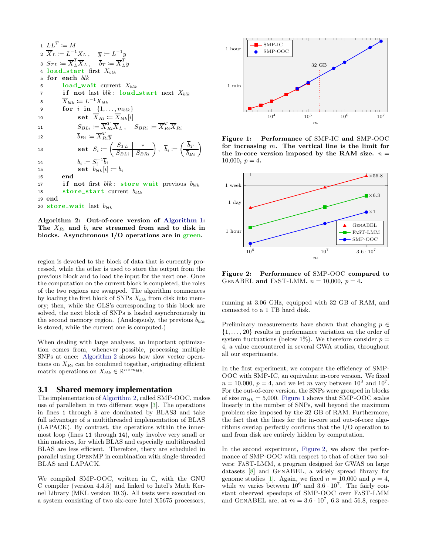<span id="page-4-0"></span>1  $LL^T := M$  $\overline{X}_L \coloneqq L^{-1}X_L\ ,\quad \overline{y} \coloneqq L$  $^{-1}y$ з $S_{TL} \coloneqq \overline{X}_L^T$  $\overline{L} \overline{X}_L$  ,  $\overline{b}_T \coloneqq \overline{X}_L^T y$ 4 load\_start first  $X_{blk}$ 5 for each blk 6 load\_wait current  $X_{blk}$ 7 if not last  $blk:$  load\_start next  $X_{blk}$ 8  $\overline{X}_{blk} \coloneqq L^{-1}X_{blk}$ 9 **for** *i* in  $\{1, ..., m_{blk}\}$ 10  $\mathbf{set} \ \overline{X}_{Ri} \coloneqq \overline{X}_{blk}[i]$ 11  $S_{BLi} \coloneqq \overline{X}_{Ri}^T \overline{X}_L$ ,  $S_{BRi} \coloneqq \overline{X}_{Ri}^T \overline{X}_{Ri}$ 12  $b_{Bi} \coloneqq \overline{X}_{Ri}^{\prime} \overline{y}$  $\overline{b}_{Bi} \coloneqq \overline{X}_{Bi}^T \overline{y}$ 13 set  $S_i \coloneqq \left(\begin{array}{c|c} S_{TL} & * \ \hline S_{BLi} & S_{BRi} \end{array}\right), \ \ \bar{b}_i \coloneqq \left(\begin{array}{c} b_T \ \hline b_{Bi} \end{array}\right)$ 14  $b_i \coloneqq S_i^{-1} \overline{b}_i$ 15  $\mathbf{set} \ b_{blk}[i] \coloneqq b_i$ 16 end 17 if not first  $blk:$  store\_wait previous  $b_{blk}$ 18 store\_start current  $b_{blk}$ 19 end 20 store\_wait last  $b_{blk}$ 

Algorithm 2: Out-of-core version of [Algorithm 1:](#page-3-4) The  $X_{R_i}$  and  $b_i$  are streamed from and to disk in blocks. Asynchronous I/O operations are in green.

region is devoted to the block of data that is currently processed, while the other is used to store the output from the previous block and to load the input for the next one. Once the computation on the current block is completed, the roles of the two regions are swapped. The algorithm commences by loading the first block of SNPs  $X_{blk}$  from disk into memory; then, while the GLS's corresponding to this block are solved, the next block of SNPs is loaded asynchronously in the second memory region. (Analogously, the previous  $b_{blk}$ is stored, while the current one is computed.)

When dealing with large analyses, an important optimization comes from, whenever possible, processing multiple SNPs at once: [Algorithm 2](#page-4-0) shows how slow vector operations on  $X_{Ri}$  can be combined together, originating efficient matrix operations on  $X_{blk} \in \mathbb{R}^{n \times m_{blk}}$ .

#### **3.1 Shared memory implementation**

The implementation of [Algorithm 2,](#page-4-0) called SMP-OOC, makes use of parallelism in two different ways [\[3\]](#page-7-6). The operations in lines 1 through 8 are dominated by BLAS3 and take full advantage of a multithreaded implementation of BLAS (LAPACK). By contrast, the operations within the innermost loop (lines 11 through 14), only involve very small or thin matrices, for which BLAS and especially multithreaded BLAS are less efficient. Therefore, thery are scheduled in parallel using OpenMP in combination with single-threaded BLAS and LAPACK.

We compiled SMP-OOC, written in C, with the GNU C compiler (version 4.4.5) and linked to Intel's Math Kernel Library (MKL version 10.3). All tests were executed on a system consisting of two six-core Intel X5675 processors,



<span id="page-4-1"></span>Figure 1: Performance of SMP-IC and SMP-OOC for increasing  $m$ . The vertical line is the limit for the in-core version imposed by the RAM size.  $n =$  $10,000, p = 4.$ 



<span id="page-4-2"></span>Figure 2: Performance of SMP-OOC compared to GENABEL and FAST-LMM.  $n = 10,000$ ,  $p = 4$ .

running at 3.06 GHz, equipped with 32 GB of RAM, and connected to a 1 TB hard disk.

Preliminary measurements have shown that changing  $p \in$  $\{1, \ldots, 20\}$  results in performance variation on the order of system fluctuations (below 1%). We therefore consider  $p =$ 4, a value encountered in several GWA studies, throughout all our experiments.

In the first experiment, we compare the efficiency of SMP-OOC with SMP-IC, an equivalent in-core version. We fixed  $n = 10,000, p = 4$ , and we let m vary between  $10<sup>3</sup>$  and  $10<sup>7</sup>$ . For the out-of-core version, the SNPs were grouped in blocks of size  $m_{blk} = 5,000$ . [Figure 1](#page-4-1) shows that SMP-OOC scales linearly in the number of SNPs, well beyond the maximum problem size imposed by the 32 GB of RAM. Furthermore, the fact that the lines for the in-core and out-of-core algorithms overlap perfectly confirms that the I/O operation to and from disk are entirely hidden by computation.

In the second experiment, [Figure 2,](#page-4-2) we show the performance of SMP-OOC with respect to that of other two solvers: FaST-LMM, a program designed for GWAS on large datasets [\[8\]](#page-7-5) and GenABEL, a widely spread library for genome studies [\[1\]](#page-7-4). Again, we fixed  $n = 10,000$  and  $p = 4$ , while m varies between  $10^6$  and  $3.6 \cdot 10^7$ . The fairly constant observed speedups of SMP-OOC over FaST-LMM and GENABEL are, at  $m = 3.6 \cdot 10^7$ , 6.3 and 56.8, respec-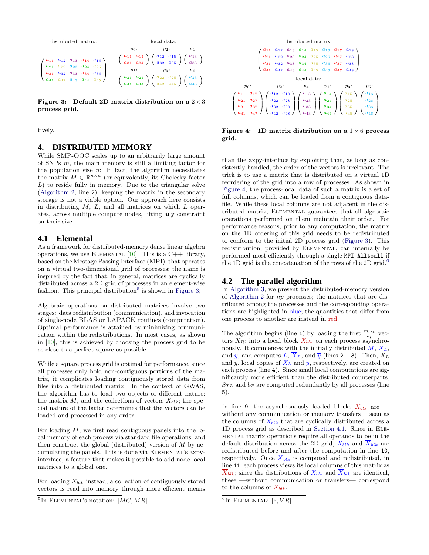

<span id="page-5-2"></span>Figure 3: Default 2D matrix distribution on a  $2 \times 3$ process grid.

<span id="page-5-0"></span>tively.

#### **4. DISTRIBUTED MEMORY**

While SMP-OOC scales up to an arbitrarily large amount of SNPs m, the main memory is still a limiting factor for the population size  $n$ : In fact, the algorithm necessitates the matrix  $M \in \mathbb{R}^{n \times n}$  (or equivalently, its Cholesky factor  $L$ ) to reside fully in memory. Due to the triangular solve [\(Algorithm 2,](#page-4-0) line 2), keeping the matrix in the secondary storage is not a viable option. Our approach here consists in distributing  $M$ ,  $L$ , and all matrices on which  $L$  operates, across multiple compute nodes, lifting any constraint on their size.

# <span id="page-5-5"></span>**4.1 Elemental**

As a framework for distributed-memory dense linear algebra operations, we use ELEMENTAL  $[10]$ . This is a C++ library, based on the Message Passing Interface (MPI), that operates on a virtual two-dimensional grid of processes; the name is inspired by the fact that, in general, matrices are cyclically distributed across a 2D grid of processes in an element-wise fashion. This principal distribution<sup>[5](#page-5-1)</sup> is shown in [Figure 3;](#page-5-2)

Algebraic operations on distributed matrices involve two stages: data redistribution (communication), and invocation of single-node BLAS or LAPACK routines (computation). Optimal performance is attained by minimizing communication within the redistributions. In most cases, as shown in [\[10\]](#page-8-2), this is achieved by choosing the process grid to be as close to a perfect square as possible.

While a square process grid is optimal for performance, since all processes only hold non-contiguous portions of the matrix, it complicates loading contiguously stored data from files into a distributed matrix. In the context of GWAS, the algorithm has to load two objects of different nature: the matrix  $M$ , and the collections of vectors  $X_{blk}$ ; the special nature of the latter determines that the vectors can be loaded and processed in any order.

For loading  $M$ , we first read contiguous panels into the local memory of each process via standard file operations, and then construct the global (distributed) version of  $M$  by accumulating the panels. This is done via Elemental's axpyinterface, a feature that makes it possible to add node-local matrices to a global one.

For loading  $X_{blk}$  instead, a collection of contiguously stored vectors is read into memory through more efficient means



<span id="page-5-3"></span>Figure 4: 1D matrix distribution on a  $1 \times 6$  process grid.

than the axpy-interface by exploiting that, as long as consistently handled, the order of the vectors is irrelevant. The trick is to use a matrix that is distributed on a virtual 1D reordering of the grid into a row of processes. As shown in [Figure 4,](#page-5-3) the process-local data of such a matrix is a set of full columns, which can be loaded from a contiguous datafile. While these local columns are not adjacent in the distributed matrix, Elemental guarantees that all algebraic operations performed on them maintain their order. For performance reasons, prior to any computation, the matrix on the 1D ordering of this grid needs to be redistributed to conform to the initial 2D process grid [\(Figure 3\)](#page-5-2). This redistribution, provided by ELEMENTAL, can internally be performed most efficiently through a single MPI\_Alltoall if the 1D grid is the concatenation of the rows of the 2D grid.<sup>[6](#page-5-4)</sup>

# **4.2 The parallel algorithm**

In [Algorithm 3,](#page-6-0) we present the distributed-memory version of [Algorithm 2](#page-4-0) for np processes; the matrices that are distributed among the processes and the corresponding operations are highlighted in blue; the quantities that differ from one process to another are instead in red.

The algorithm begins (line 1) by loading the first  $\frac{m_{blk}}{np}$  vectors  $X_{Ri}$  into a local block  $X_{blk}$  on each process asynchronously. It commences with the initially distributed  $M, X_L$ , and y, and computes L,  $\overline{X}_L$ , and  $\overline{y}$  (lines 2 – 3). Then,  $X_L$ and y, local copies of  $X_L$  and y, respectively, are created on each process (line 4). Since small local computations are significantly more efficient than the distributed counterparts,  $S_{TL}$  and  $b_T$  are computed redundantly by all processes (line 5).

In line 9, the asynchronously loaded blocks  $X_{blk}$  are  $=$ without any communication or memory transfers— seen as the columns of  $X_{blk}$  that are cyclically distributed across a 1D process grid as described in [Section 4.1.](#page-5-5) Since in Elemental matrix operations require all operands to be in the default distribution across the 2D grid,  $X_{blk}$  and  $X_{blk}$  are redistributed before and after the computation in line 10, respectively. Once  $\overline{X}_{blk}$  is computed and redistributed, in line 11, each process views its local columns of this matrix as  $\overline{X}_{blk}$ ; since the distributions of  $X_{blk}$  and  $\overline{X}_{blk}$  are identical, these —without communication or transfers— correspond to the columns of  $X_{blk}$ .

<span id="page-5-1"></span><sup>&</sup>lt;sup>5</sup>In ELEMENTAL's notation:  $[MC, MR]$ .

<span id="page-5-4"></span> ${}^{6}$ In Elemental: [\*,  $VR$ ].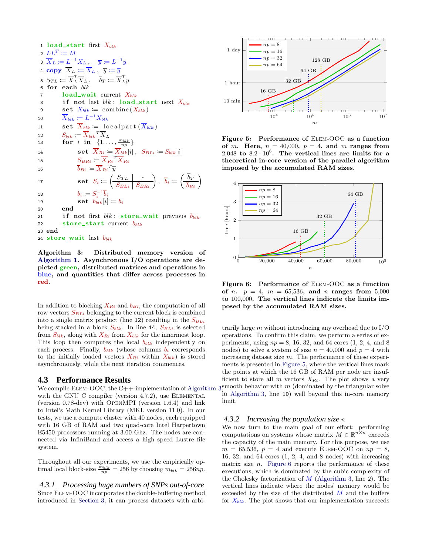<span id="page-6-0"></span>1 load\_start first  $X_{blk}$ 2  $LL^T \coloneqq M$ з $\overline{X}_L \coloneqq L^{-1}X_L\ ,\quad \overline{y} \coloneqq L^{-1}y$ 4 copy  $\overline{X}_L \coloneqq \overline{X}_L$ ,  $\overline{y} \coloneqq \overline{y}$ 5  $S_{TL} \coloneqq \overline{X}_L^T \overline{X}_L$ ,  $\overline{b}_T \coloneqq \overline{X}_L^T y$  $6$  for each  $blk$ 7 load\_wait current  $X_{blk}$ 8 if not last  $blk:$  load\_start next  $X_{blk}$ 9 set  $X_{blk} \coloneqq \text{combine}(X_{blk})$ 10  $\overline{X}_{blk} \coloneqq L^{-1}X_{blk}$ 11 **set**  $X_{blk} \coloneqq \text{local part}(X_{blk})$ 12  $S_{blk} \coloneqq \overline{X}_{blk}{}^T \overline{X}_L$ 13 for i in  $\{1, \ldots, \frac{m_{blk}}{np}\}$ 14  $\qquad \qquad \textbf{set} \ \overline{X}_{Ri} \coloneqq \overline{X}_{blk}[i] \,, \ \ S_{BLi} \coloneqq S_{blk}[i]$ 15  $S_{B R i} \coloneqq \overline{X}_{R i}{}^T \overline{X}_{R i}$ 16  $\overline{b}_{Bi} \coloneqq \overline{X}_{Ri}{}^T \overline{y}$ 17  $\quad \mathbf{set} \ S_i \coloneqq \left( \begin{array}{c|c} S_{TL} & * \ \hline S_{BLi} & S_{BRi} \end{array} \right), \ \ \bar{b}_i \coloneqq \left( \begin{array}{c} b_T \ \hline b_{Bi} \end{array} \right)$ 18  $b_i \coloneqq S_i^{-1} \overline{b}_i$ 19  $\textbf{set} \quad b_{blk}[i] \coloneqq b_i$ 20 end 21 if not first  $blk: store\_wait$  previous  $b_{blk}$ 22 store\_start current  $b_{blk}$ 23 end 24 store\_wait last  $b_{blk}$ 

Algorithm 3: Distributed memory version of [Algorithm 1.](#page-3-4) Asynchronous I/O operations are depicted green, distributed matrices and operations in blue, and quantities that differ across processes in red.

In addition to blocking  $X_{Ri}$  and  $b_{Bi}$ , the computation of all row vectors  $S_{BLi}$  belonging to the current block is combined into a single matrix product (line 12) resulting in the  $S_{BLi}$ being stacked in a block  $S_{blk}$ . In line 14,  $S_{BLi}$  is selected from  $S_{blk}$ , along with  $X_{Ri}$  from  $X_{blk}$  for the innermost loop. This loop then computes the local  $b_{blk}$  independently on each process. Finally,  $b_{blk}$  (whose columns  $b_i$  corresponds to the initially loaded vectors  $X_{Ri}$  within  $X_{blk}$  is stored asynchronously, while the next iteration commences.

#### **4.3 Performance Results**

with the GNU C compiler (version  $4.7.2$ ), use ELEMENTAL (version 0.78-dev) with OpenMPI (version 1.6.4) and link to Intel's Math Kernel Library (MKL version 11.0). In our tests, we use a compute cluster with 40 nodes, each equipped with 16 GB of RAM and two quad-core Intel Harpertown E5450 processors running at 3.00 Ghz. The nodes are connected via InfiniBand and access a high speed Lustre file system.

Throughout all our experiments, we use the empirically optimal local block-size  $\frac{\dot{m}_{blk}}{np} = 256$  by choosing  $m_{blk} = 256np$ .

*4.3.1 Processing huge numbers of SNPs out-of-core* Since Elem-OOC incorporates the double-buffering method introduced in [Section 3,](#page-3-1) it can process datasets with arbi-



<span id="page-6-1"></span>Figure 5: Performance of Elem-OOC as a function of m. Here,  $n = 40,000$ ,  $p = 4$ , and m ranges from 2,048 to  $8.2 \cdot 10^6$ . The vertical lines are limits for a theoretical in-core version of the parallel algorithm imposed by the accumulated RAM sizes.



<span id="page-6-2"></span>Figure 6: Performance of Elem-OOC as a function of *n.*  $p = 4$ ,  $m = 65,536$ , and *n* ranges from 5,000 to 100,000. The vertical lines indicate the limits imposed by the accumulated RAM sizes.

We compile ELEM-OOC, the C++-implementation of Algorithm  $3,$  mooth behavior with m (dominated by the triangular solve trarily large  $m$  without introducing any overhead due to  $I/O$ operations. To confirm this claim, we perform a series of experiments, using  $np = 8$ , 16, 32, and 64 cores  $(1, 2, 4, \text{ and } 8)$ nodes) to solve a system of size  $n = 40,000$  and  $p = 4$  with increasing dataset size m. The performance of these experiments is presented in [Figure 5,](#page-6-1) where the vertical lines mark the points at which the 16 GB of RAM per node are insufficient to store all m vectors  $X_{Ri}$ . The plot shows a very in [Algorithm 3,](#page-6-0) line 10) well beyond this in-core memory limit.

#### *4.3.2 Increasing the population size* n

We now turn to the main goal of our effort: performing computations on systems whose matrix  $M \in \mathbb{R}^{n \times n}$  exceeds the capacity of the main memory. For this purpose, we use  $m = 65,536, p = 4$  and execute ELEM-OOC on  $np = 8$ , 16, 32, and 64 cores (1, 2, 4, and 8 nodes) with increasing matrix size  $n$ . [Figure 6](#page-6-2) reports the performance of these executions, which is dominated by the cubic complexity of the Cholesky factorization of  $M$  [\(Algorithm 3,](#page-6-0) line 2). The vertical lines indicate where the nodes' memory would be exceeded by the size of the distributed  $M$  and the buffers for  $X_{blk}$ . The plot shows that our implementation succeeds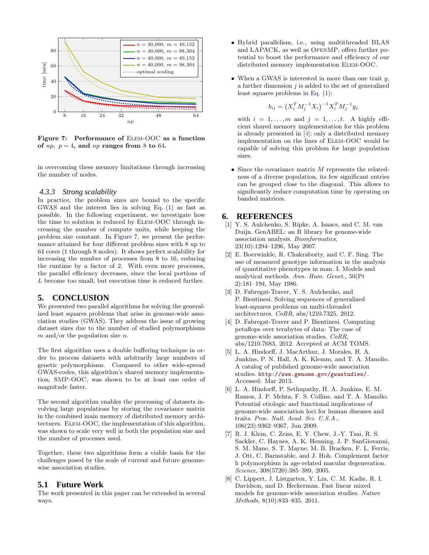

<span id="page-7-7"></span>Figure 7: Performance of Elem-OOC as a function of  $np$ .  $p = 4$ , and  $np$  ranges from 8 to 64.

in overcoming these memory limitations through increasing the number of nodes.

#### *4.3.3 Strong scalability*

In practice, the problem sizes are bound to the specific GWAS and the interest lies in solving [Eq. \(1\)](#page-2-0) as fast as possible. In the following experiment, we investigate how the time to solution is reduced by Elem-OOC through increasing the number of compute units, while keeping the problem size constant. In [Figure 7,](#page-7-7) we present the performance attained for four different problem sizes with 8 up to 64 cores (1 through 8 nodes). It shows perfect scalability for increasing the number of processes from 8 to 16, reducing the runtime by a factor of 2. With even more processes, the parallel efficiency decreases, since the local portions of L become too small, but execution time is reduced further.

## **5. CONCLUSION**

We presented two parallel algorithms for solving the generalized least squares problems that arise in genome-wide association studies (GWAS). They address the issue of growing dataset sizes due to the number of studied polymorphisms  $m$  and/or the population size  $n$ .

The first algorithm uses a double buffering technique in order to process datasets with arbitrarily large numbers of genetic polymorphisms. Compared to other wide-spread GWAS-codes, this algorithm's shared memory implementation, SMP-OOC, was shown to be at least one order of magnitude faster.

The second algorithm enables the processing of datasets involving large populations by storing the covariance matrix in the combined main memory of distributed memory architectures. Elem-OOC, the implementation of this algorithm, was shown to scale very well in both the population size and the number of processes used.

Together, these two algorithms form a viable basis for the challenges posed by the scale of current and future genomewise association studies.

# **5.1 Future Work**

The work presented in this paper can be extended in several ways.

- Hybrid parallelism, i.e., using multithreaded BLAS and LAPACK, as well as OpenMP, offers further potential to boost the performance and efficiency of our distributed memory implementation Elem-OOC.
- When a GWAS is interested in more than one trait  $y$ , a further dimension  $j$  is added to the set of generalized least squares problems in [Eq. \(1\):](#page-2-0)

$$
b_{ij} = \left(X_i^T M_j^{-1} X_i\right)^{-1} X_i^T M_j^{-1} y_j
$$

with  $i = 1, \ldots, m$  and  $j = 1, \ldots, t$ . A highly efficient shared memory implementation for this problem is already presented in [\[4\]](#page-7-8); only a distributed memory implementation on the lines of Elem-OOC would be capable of solving this problem for large population sizes.

• Since the covariance matrix  $M$  represents the relatedness of a diverse population, its few significant entries can be grouped close to the diagonal. This allows to significantly reduce computation time by operating on banded matrices.

# <span id="page-7-4"></span>**6. REFERENCES**

- [1] Y. S. Aulchenko, S. Ripke, A. Isaacs, and C. M. van Duijn. GenABEL: an R library for genome-wide association analysis. Bioinformatics, 23(10):1294–1296, May 2007.
- <span id="page-7-1"></span>[2] E. Boerwinkle, R. Chakraborty, and C. F. Sing. The use of measured genotype information in the analysis of quantitative phenotypes in man. I. Models and analytical methods. Ann. Hum. Genet., 50(Pt 2):181–194, May 1986.
- <span id="page-7-6"></span>[3] D. Fabregat-Traver, Y. S. Aulchenko, and P. Bientinesi. Solving sequences of generalized least-squares problems on multi-threaded architectures. CoRR, abs/1210.7325, 2012.
- <span id="page-7-8"></span>[4] D. Fabregat-Traver and P. Bientinesi. Computing petaflops over terabytes of data: The case of genome-wide association studies. CoRR, abs/1210.7683, 2012. Accepted at ACM TOMS.
- <span id="page-7-3"></span>[5] L. A. Hindorff, J. MacArthur, J. Morales, H. A. Junkins, P. N. Hall, A. K. Klemm, and T. A. Manolio. A catalog of published genome-wide association studies. <http://www.genome.gov/gwastudies/>. Accessed: Mar 2013.
- <span id="page-7-0"></span>[6] L. A. Hindorff, P. Sethupathy, H. A. Junkins, E. M. Ramos, J. P. Mehta, F. S. Collins, and T. A. Manolio. Potential etiologic and functional implications of genome-wide association loci for human diseases and traits. Proc. Natl. Acad. Sci. U.S.A., 106(23):9362–9367, Jun 2009.
- <span id="page-7-2"></span>[7] R. J. Klein, C. Zeiss, E. Y. Chew, J.-Y. Tsai, R. S. Sackler, C. Haynes, A. K. Henning, J. P. SanGiovanni, S. M. Mane, S. T. Mayne, M. B. Bracken, F. L. Ferris, J. Ott, C. Barnstable, and J. Hoh. Complement factor h polymorphism in age-related macular degeneration. Science, 308(5720):385–389, 2005.
- <span id="page-7-5"></span>[8] C. Lippert, J. Listgarten, Y. Liu, C. M. Kadie, R. I. Davidson, and D. Heckerman. Fast linear mixed models for genome-wide association studies. Nature Methods, 8(10):833–835, 2011.